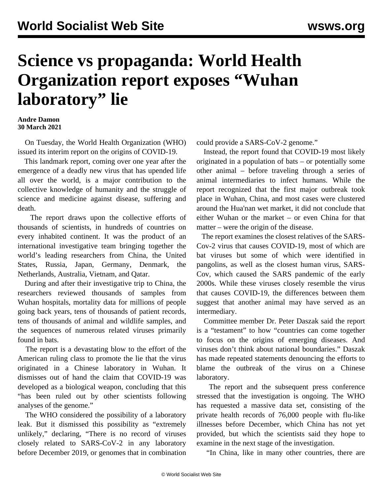## **Science vs propaganda: World Health Organization report exposes "Wuhan laboratory" lie**

## **Andre Damon 30 March 2021**

 On Tuesday, the World Health Organization (WHO) issued its interim report on the origins of COVID-19.

 This landmark report, coming over one year after the emergence of a deadly new virus that has upended life all over the world, is a major contribution to the collective knowledge of humanity and the struggle of science and medicine against disease, suffering and death.

 The report draws upon the collective efforts of thousands of scientists, in hundreds of countries on every inhabited continent. It was the product of an international investigative team bringing together the world's leading researchers from China, the United States, Russia, Japan, Germany, Denmark, the Netherlands, Australia, Vietnam, and Qatar.

 During and after their investigative trip to China, the researchers reviewed thousands of samples from Wuhan hospitals, mortality data for millions of people going back years, tens of thousands of patient records, tens of thousands of animal and wildlife samples, and the sequences of numerous related viruses primarily found in bats.

 The report is a devastating blow to the effort of the American ruling class to promote the lie that the virus originated in a Chinese laboratory in Wuhan. It dismisses out of hand the claim that COVID-19 was developed as a biological weapon, concluding that this "has been ruled out by other scientists following analyses of the genome."

 The WHO considered the possibility of a laboratory leak. But it dismissed this possibility as "extremely unlikely," declaring, "There is no record of viruses closely related to SARS-CoV-2 in any laboratory before December 2019, or genomes that in combination could provide a SARS-CoV-2 genome."

 Instead, the report found that COVID-19 most likely originated in a population of bats – or potentially some other animal – before traveling through a series of animal intermediaries to infect humans. While the report recognized that the first major outbreak took place in Wuhan, China, and most cases were clustered around the Hua'nan wet market, it did not conclude that either Wuhan or the market – or even China for that matter – were the origin of the disease.

 The report examines the closest relatives of the SARS-Cov-2 virus that causes COVID-19, most of which are bat viruses but some of which were identified in pangolins, as well as the closest human virus, SARS-Cov, which caused the SARS pandemic of the early 2000s. While these viruses closely resemble the virus that causes COVID-19, the differences between them suggest that another animal may have served as an intermediary.

 Committee member Dr. Peter Daszak said the report is a "testament" to how "countries can come together to focus on the origins of emerging diseases. And viruses don't think about national boundaries." Daszak has made repeated statements denouncing the efforts to blame the outbreak of the virus on a Chinese laboratory.

 The report and the subsequent press conference stressed that the investigation is ongoing. The WHO has requested a massive data set, consisting of the private health records of 76,000 people with flu-like illnesses before December, which China has not yet provided, but which the scientists said they hope to examine in the next stage of the investigation.

"In China, like in many other countries, there are